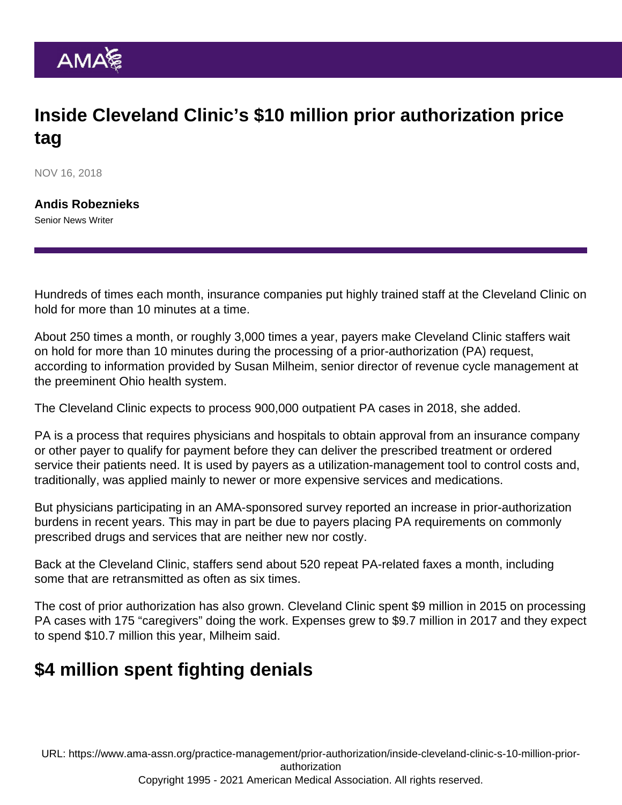## Inside Cleveland Clinic's \$10 million prior authorization price tag

NOV 16, 2018

[Andis Robeznieks](https://www.ama-assn.org/news-leadership-viewpoints/authors-news-leadership-viewpoints/andis-robeznieks) Senior News Writer

Hundreds of times each month, insurance companies put highly trained staff at the Cleveland Clinic on hold for more than 10 minutes at a time.

About 250 times a month, or roughly 3,000 times a year, payers make [Cleveland Clinic](https://my.clevelandclinic.org/) staffers wait on hold for more than 10 minutes during the processing of a prior-authorization (PA) request, according to information provided by Susan Milheim, senior director of revenue cycle management at the preeminent Ohio health system.

The Cleveland Clinic expects to process 900,000 outpatient PA cases in 2018, she added.

PA is a process that requires physicians and hospitals to obtain approval from an insurance company or other payer to qualify for payment before they can deliver the prescribed treatment or ordered service their patients need. It is used by payers as a utilization-management tool to control costs and, traditionally, was applied mainly to newer or more expensive services and medications.

But physicians participating in an AMA-sponsored [survey](https://www.ama-assn.org/sites/ama-assn.org/files/corp/media-browser/public/arc/prior-auth-2017.pdf) reported an increase in prior-authorization burdens in recent years. This may in part be due to payers placing PA requirements on commonly prescribed drugs and services that are neither new nor costly.

Back at the Cleveland Clinic, staffers send about 520 repeat PA-related faxes a month, including some that are retransmitted as often as six times.

The cost of prior authorization has also grown. Cleveland Clinic spent \$9 million in 2015 on processing PA cases with 175 "caregivers" doing the work. Expenses grew to \$9.7 million in 2017 and they expect to spend \$10.7 million this year, Milheim said.

## \$4 million spent fighting denials

URL: [https://www.ama-assn.org/practice-management/prior-authorization/inside-cleveland-clinic-s-10-million-prior](https://www.ama-assn.org/practice-management/prior-authorization/inside-cleveland-clinic-s-10-million-prior-authorization)[authorization](https://www.ama-assn.org/practice-management/prior-authorization/inside-cleveland-clinic-s-10-million-prior-authorization)